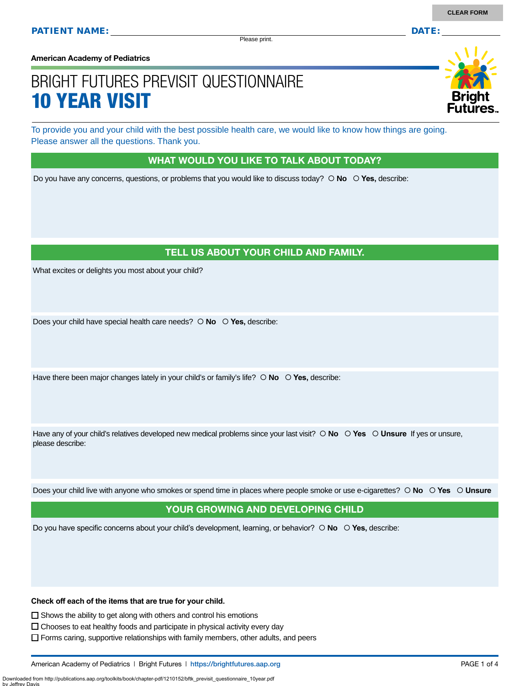Please print.

**American Academy of Pediatrics**

# BRIGHT FUTURES PREVISIT QUESTIONNAIRE 10 YEAR VISIT

To provide you and your child with the best possible health care, we would like to know how things are going. Please answer all the questions. Thank you.

#### WHAT WOULD YOU LIKE TO TALK ABOUT TODAY?

Do you have any concerns, questions, or problems that you would like to discuss today?  $\circ$  **No**  $\circ$  **Yes**, describe:

## TELL US ABOUT YOUR CHILD AND FAMILY.

What excites or delights you most about your child?

Does your child have special health care needs?  $\circ$  **No**  $\circ$  **Yes**, describe:

Have there been major changes lately in your child's or family's life?  $\circ$  **No**  $\circ$  **Yes,** describe:

Have any of your child's relatives developed new medical problems since your last visit?  $\circ$  **No**  $\circ$  **Yes**  $\circ$  **Unsure** If yes or unsure, please describe:

Does your child live with anyone who smokes or spend time in places where people smoke or use e-cigarettes?  **No Yes Unsure**

### YOUR GROWING AND DEVELOPING CHILD

Do you have specific concerns about your child's development, learning, or behavior?  **No Yes,** describe:

**Check off each of the items that are true for your child.** 

 $\square$  Shows the ability to get along with others and control his emotions

Downloaded from http://publications.aap.org/toolkits/book/chapter-pdf/1210152/bftk\_previsit\_questionnaire\_10year.pdf

by Jeffrey Davis

 $\Box$  Chooses to eat healthy foods and participate in physical activity every day

 $\Box$  Forms caring, supportive relationships with family members, other adults, and peers

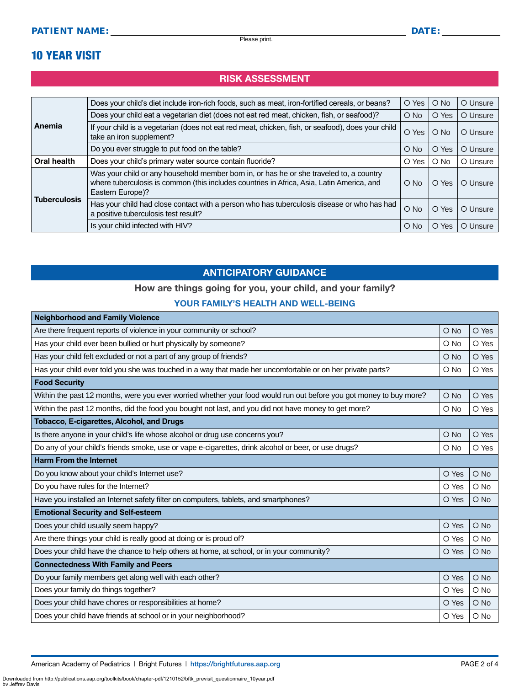# 10 YEAR VISIT

# RISK ASSESSMENT

|                     | Does your child's diet include iron-rich foods, such as meat, iron-fortified cereals, or beans?                                                                                                          | O Yes         | $O$ No        | O Unsure |
|---------------------|----------------------------------------------------------------------------------------------------------------------------------------------------------------------------------------------------------|---------------|---------------|----------|
| Anemia              | Does your child eat a vegetarian diet (does not eat red meat, chicken, fish, or seafood)?                                                                                                                | $O$ No        | O Yes         | O Unsure |
|                     | If your child is a vegetarian (does not eat red meat, chicken, fish, or seafood), does your child<br>take an iron supplement?                                                                            | O Yes         | $\bigcirc$ No | O Unsure |
|                     | Do you ever struggle to put food on the table?                                                                                                                                                           | $\bigcirc$ No | O Yes         | O Unsure |
| Oral health         | Does your child's primary water source contain fluoride?                                                                                                                                                 | O Yes         | $\bigcirc$ No | O Unsure |
|                     | Was your child or any household member born in, or has he or she traveled to, a country<br>where tuberculosis is common (this includes countries in Africa, Asia, Latin America, and<br>Eastern Europe)? | $\bigcirc$ No | O Yes         | O Unsure |
| <b>Tuberculosis</b> | Has your child had close contact with a person who has tuberculosis disease or who has had<br>a positive tuberculosis test result?                                                                       | $O$ No        | O Yes         | O Unsure |
|                     | Is your child infected with HIV?                                                                                                                                                                         | $\circ$ No    | O Yes         | O Unsure |

# ANTICIPATORY GUIDANCE

### How are things going for you, your child, and your family?

#### YOUR FAMILY'S HEALTH AND WELL-BEING

| <b>Neighborhood and Family Violence</b>                                                                            |               |        |  |
|--------------------------------------------------------------------------------------------------------------------|---------------|--------|--|
| Are there frequent reports of violence in your community or school?                                                | $\bigcirc$ No | O Yes  |  |
| Has your child ever been bullied or hurt physically by someone?                                                    | O No          | O Yes  |  |
| Has your child felt excluded or not a part of any group of friends?                                                | $\bigcirc$ No | O Yes  |  |
| Has your child ever told you she was touched in a way that made her uncomfortable or on her private parts?         | O No          | O Yes  |  |
| <b>Food Security</b>                                                                                               |               |        |  |
| Within the past 12 months, were you ever worried whether your food would run out before you got money to buy more? | O No          | O Yes  |  |
| Within the past 12 months, did the food you bought not last, and you did not have money to get more?               | O No          | O Yes  |  |
| <b>Tobacco, E-cigarettes, Alcohol, and Drugs</b>                                                                   |               |        |  |
| Is there anyone in your child's life whose alcohol or drug use concerns you?                                       | O No          | O Yes  |  |
| Do any of your child's friends smoke, use or vape e-cigarettes, drink alcohol or beer, or use drugs?               | O No          | O Yes  |  |
| <b>Harm From the Internet</b>                                                                                      |               |        |  |
| Do you know about your child's Internet use?                                                                       | O Yes         | $O$ No |  |
| Do you have rules for the Internet?                                                                                | O Yes         | O No   |  |
| Have you installed an Internet safety filter on computers, tablets, and smartphones?                               | O Yes         | O No   |  |
| <b>Emotional Security and Self-esteem</b>                                                                          |               |        |  |
| Does your child usually seem happy?                                                                                | O Yes         | O No   |  |
| Are there things your child is really good at doing or is proud of?                                                | O Yes         | $O$ No |  |
| Does your child have the chance to help others at home, at school, or in your community?                           | O Yes         | $O$ No |  |
| <b>Connectedness With Family and Peers</b>                                                                         |               |        |  |
| Do your family members get along well with each other?                                                             | O Yes         | O No   |  |
| Does your family do things together?                                                                               | O Yes         | O No   |  |
| Does your child have chores or responsibilities at home?                                                           | O Yes         | O No   |  |
| Does your child have friends at school or in your neighborhood?                                                    | O Yes         | O No   |  |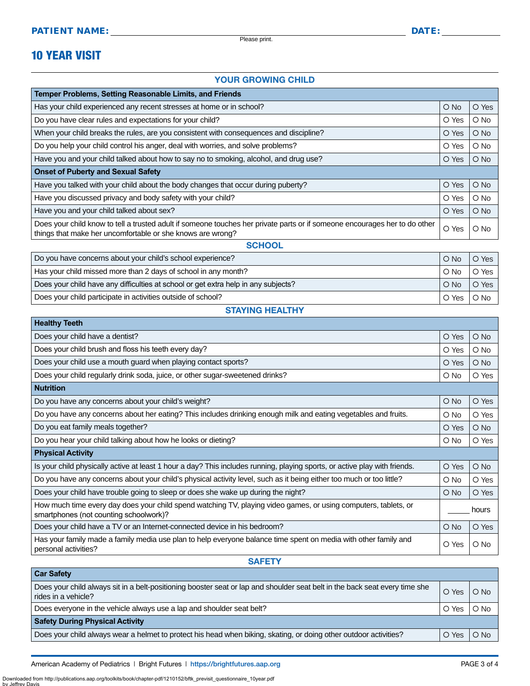Please print.

# 10 YEAR VISIT

#### YOUR GROWING CHILD

| Temper Problems, Setting Reasonable Limits, and Friends                                                                                                                                  |        |               |  |
|------------------------------------------------------------------------------------------------------------------------------------------------------------------------------------------|--------|---------------|--|
| Has your child experienced any recent stresses at home or in school?                                                                                                                     | $O$ No | O Yes         |  |
| Do you have clear rules and expectations for your child?                                                                                                                                 | O Yes  | $\bigcirc$ No |  |
| When your child breaks the rules, are you consistent with consequences and discipline?                                                                                                   | O Yes  | $\bigcirc$ No |  |
| Do you help your child control his anger, deal with worries, and solve problems?                                                                                                         | O Yes  | $\bigcirc$ No |  |
| Have you and your child talked about how to say no to smoking, alcohol, and drug use?                                                                                                    | O Yes  | $\bigcirc$ No |  |
| <b>Onset of Puberty and Sexual Safety</b>                                                                                                                                                |        |               |  |
| Have you talked with your child about the body changes that occur during puberty?                                                                                                        | O Yes  | $O$ No        |  |
| Have you discussed privacy and body safety with your child?                                                                                                                              | O Yes  | $\circ$ No    |  |
| Have you and your child talked about sex?                                                                                                                                                | O Yes  | $O$ No        |  |
| Does your child know to tell a trusted adult if someone touches her private parts or if someone encourages her to do other<br>things that make her uncomfortable or she knows are wrong? |        | $\bigcirc$ No |  |
| <b>SCHOOL</b>                                                                                                                                                                            |        |               |  |
| Do you have concerns about your child's school experience?                                                                                                                               | $O$ No | O Yes         |  |

| DO YOU HAVE CONCENTS ADOUT YOUR CHILD S SCHOOL EXPERIENCE !                        | I O NO.       | O Yes  |
|------------------------------------------------------------------------------------|---------------|--------|
| Has your child missed more than 2 days of school in any month?                     | $\circ$ No    | O Yes  |
| Does your child have any difficulties at school or get extra help in any subjects? | $\bigcirc$ No | O Yes  |
| Does your child participate in activities outside of school?                       | O Yes I       | . O No |

STAYING HEALTHY

| <b>Healthy Teeth</b>                                                                                                                                      |            |               |
|-----------------------------------------------------------------------------------------------------------------------------------------------------------|------------|---------------|
| Does your child have a dentist?                                                                                                                           | O Yes      | $O$ No        |
| Does your child brush and floss his teeth every day?                                                                                                      |            | $\bigcirc$ No |
| Does your child use a mouth guard when playing contact sports?                                                                                            | O Yes      | $\bigcirc$ No |
| Does your child regularly drink soda, juice, or other sugar-sweetened drinks?                                                                             | $\circ$ No | O Yes         |
| <b>Nutrition</b>                                                                                                                                          |            |               |
| Do you have any concerns about your child's weight?                                                                                                       | O No       | O Yes         |
| Do you have any concerns about her eating? This includes drinking enough milk and eating vegetables and fruits.                                           | O No       | O Yes         |
| Do you eat family meals together?                                                                                                                         | O Yes      | $O$ No        |
| Do you hear your child talking about how he looks or dieting?                                                                                             |            | O Yes         |
| <b>Physical Activity</b>                                                                                                                                  |            |               |
| Is your child physically active at least 1 hour a day? This includes running, playing sports, or active play with friends.                                | O Yes      | $\bigcirc$ No |
| Do you have any concerns about your child's physical activity level, such as it being either too much or too little?                                      | O No       | O Yes         |
| Does your child have trouble going to sleep or does she wake up during the night?                                                                         |            | O Yes         |
| How much time every day does your child spend watching TV, playing video games, or using computers, tablets, or<br>smartphones (not counting schoolwork)? | hours      |               |
| Does your child have a TV or an Internet-connected device in his bedroom?                                                                                 |            | O Yes         |
| Has your family made a family media use plan to help everyone balance time spent on media with other family and<br>personal activities?                   |            | $\circ$ No    |

#### **SAFETY**

| <b>Car Sarety</b>                                                                                                                                  |       |            |  |
|----------------------------------------------------------------------------------------------------------------------------------------------------|-------|------------|--|
| Does your child always sit in a belt-positioning booster seat or lap and shoulder seat belt in the back seat every time she<br>rides in a vehicle? | O Yes | $O$ No     |  |
| Does everyone in the vehicle always use a lap and shoulder seat belt?                                                                              |       | $\circ$ No |  |
| <b>Safety During Physical Activity</b>                                                                                                             |       |            |  |
| Does your child always wear a helmet to protect his head when biking, skating, or doing other outdoor activities?                                  |       | $O$ No     |  |

American Academy of Pediatrics | Bright Futures | https:/[/brightfutures.aap.org](https://brightfutures.aap.org/Pages/default.aspx) PAGE 3 of 4

**Car Safety**